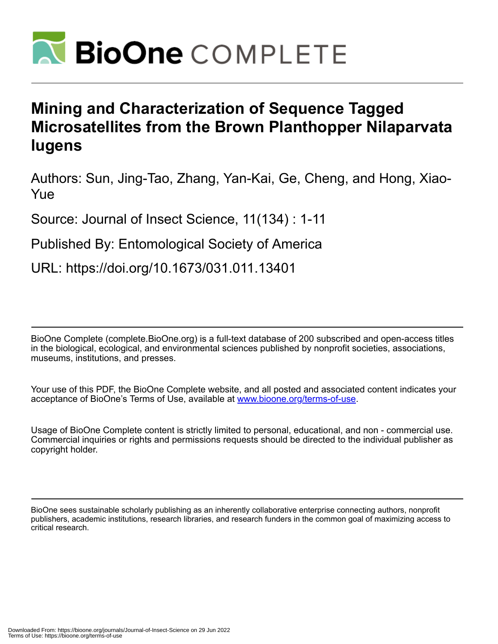

# **Mining and Characterization of Sequence Tagged Microsatellites from the Brown Planthopper Nilaparvata lugens**

Authors: Sun, Jing-Tao, Zhang, Yan-Kai, Ge, Cheng, and Hong, Xiao-Yue

Source: Journal of Insect Science, 11(134) : 1-11

Published By: Entomological Society of America

URL: https://doi.org/10.1673/031.011.13401

BioOne Complete (complete.BioOne.org) is a full-text database of 200 subscribed and open-access titles in the biological, ecological, and environmental sciences published by nonprofit societies, associations, museums, institutions, and presses.

Your use of this PDF, the BioOne Complete website, and all posted and associated content indicates your acceptance of BioOne's Terms of Use, available at www.bioone.org/terms-of-use.

Usage of BioOne Complete content is strictly limited to personal, educational, and non - commercial use. Commercial inquiries or rights and permissions requests should be directed to the individual publisher as copyright holder.

BioOne sees sustainable scholarly publishing as an inherently collaborative enterprise connecting authors, nonprofit publishers, academic institutions, research libraries, and research funders in the common goal of maximizing access to critical research.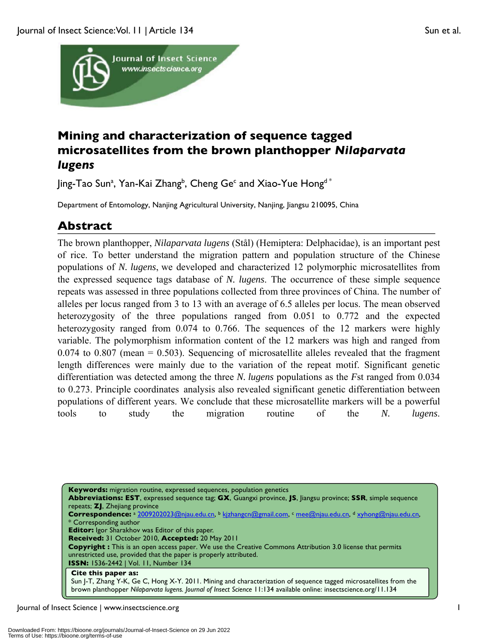



# **Mining and characterization of sequence tagged microsatellites from the brown planthopper** *Nilaparvata lugens*

Jing-Tao Sunª, Yan-Kai Zhang<sup>b</sup>, Cheng Ge<sup>c</sup> and Xiao-Yue Hong<sup>d</sup> \*

Department of Entomology, Nanjing Agricultural University, Nanjing, Jiangsu 210095, China

## **Abstract**

The brown planthopper, *Nilaparvata lugens* (Stål) (Hemiptera: Delphacidae), is an important pest of rice. To better understand the migration pattern and population structure of the Chinese populations of *N. lugens*, we developed and characterized 12 polymorphic microsatellites from the expressed sequence tags database of *N. lugens*. The occurrence of these simple sequence repeats was assessed in three populations collected from three provinces of China. The number of alleles per locus ranged from 3 to 13 with an average of 6.5 alleles per locus. The mean observed heterozygosity of the three populations ranged from 0.051 to 0.772 and the expected heterozygosity ranged from 0.074 to 0.766. The sequences of the 12 markers were highly variable. The polymorphism information content of the 12 markers was high and ranged from  $0.074$  to  $0.807$  (mean = 0.503). Sequencing of microsatellite alleles revealed that the fragment length differences were mainly due to the variation of the repeat motif. Significant genetic differentiation was detected among the three *N. lugens* populations as the *F*st ranged from 0.034 to 0.273. Principle coordinates analysis also revealed significant genetic differentiation between populations of different years. We conclude that these microsatellite markers will be a powerful tools to study the migration routine of the *N. lugens*.

**Keywords:** migration routine, expressed sequences, population genetics **Abbreviations: EST**, expressed sequence tag; **GX**, Guangxi province, **JS**, Jiangsu province; **SSR**, simple sequence repeats; **ZJ**, Zhejiang province **Correspondence:** <sup>a</sup> 2009202023@njau.edu.cn, <sup>b</sup> kjzhangcn@gmail.com, <sup>c</sup> mee@njau.edu.cn, <sup>d</sup> xyhong@njau.edu.cn, Corresponding author **Editor:** Igor Sharakhov was Editor of this paper. **Received:** 31 October 2010, **Accepted:** 20 May 2011 **Copyright :** This is an open access paper. We use the Creative Commons Attribution 3.0 license that permits unrestricted use, provided that the paper is properly attributed. **ISSN:** 1536-2442 | Vol. 11, Number 134 **Cite this paper as:** Sun J-T, Zhang Y-K, Ge C, Hong X-Y. 2011. Mining and characterization of sequence tagged microsatellites from the brown planthopper *Nilaparvata lugens. Journal of Insect Science* 11:134 available online: insectscience.org/11.134

Journal of Insect Science | www.insectscience.org 1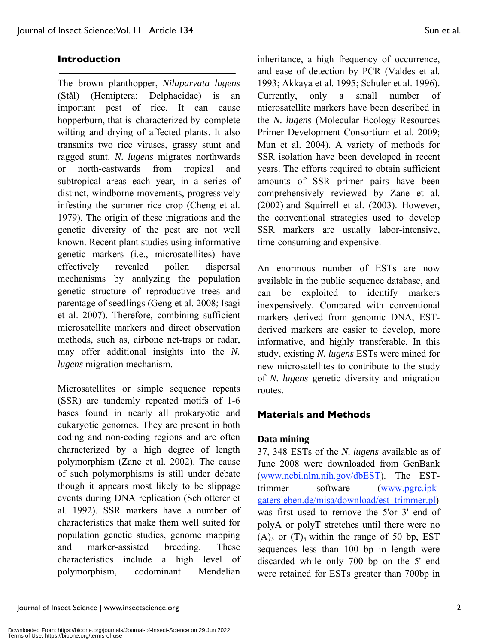#### **Introduction**

The brown planthopper, *Nilaparvata lugens* (Stål) (Hemiptera: Delphacidae) is an important pest of rice. It can cause hopperburn, that is characterized by complete wilting and drying of affected plants. It also transmits two rice viruses, grassy stunt and ragged stunt. *N. lugens* migrates northwards or north-eastwards from tropical and subtropical areas each year, in a series of distinct, windborne movements, progressively infesting the summer rice crop (Cheng et al. 1979). The origin of these migrations and the genetic diversity of the pest are not well known. Recent plant studies using informative genetic markers (i.e., microsatellites) have effectively revealed pollen dispersal mechanisms by analyzing the population genetic structure of reproductive trees and parentage of seedlings (Geng et al. 2008; Isagi et al. 2007). Therefore, combining sufficient microsatellite markers and direct observation methods, such as, airbone net-traps or radar, may offer additional insights into the *N. lugens* migration mechanism.

Microsatellites or simple sequence repeats (SSR) are tandemly repeated motifs of 1-6 bases found in nearly all prokaryotic and eukaryotic genomes. They are present in both coding and non-coding regions and are often characterized by a high degree of length polymorphism (Zane et al. 2002). The cause of such polymorphisms is still under debate though it appears most likely to be slippage events during DNA replication (Schlotterer et al. 1992). SSR markers have a number of characteristics that make them well suited for population genetic studies, genome mapping and marker-assisted breeding. These characteristics include a high level of polymorphism, codominant Mendelian inheritance, a high frequency of occurrence, and ease of detection by PCR (Valdes et al. 1993; Akkaya et al. 1995; Schuler et al. 1996). Currently, only a small number of microsatellite markers have been described in the *N. lugens* (Molecular Ecology Resources Primer Development Consortium et al. 2009; Mun et al. 2004). A variety of methods for SSR isolation have been developed in recent years. The efforts required to obtain sufficient amounts of SSR primer pairs have been comprehensively reviewed by Zane et al. (2002) and Squirrell et al. (2003). However, the conventional strategies used to develop SSR markers are usually labor-intensive, time-consuming and expensive.

An enormous number of ESTs are now available in the public sequence database, and can be exploited to identify markers inexpensively. Compared with conventional markers derived from genomic DNA, ESTderived markers are easier to develop, more informative, and highly transferable. In this study, existing *N. lugens* ESTs were mined for new microsatellites to contribute to the study of *N. lugens* genetic diversity and migration routes.

#### **Materials and Methods**

#### **Data mining**

37, 348 ESTs of the *N. lugens* available as of June 2008 were downloaded from GenBank (www.ncbi.nlm.nih.gov/dbEST). The ESTtrimmer software (www.pgrc.ipkgatersleben.de/misa/download/est\_trimmer.pl) was first used to remove the 5'or 3' end of polyA or polyT stretches until there were no  $(A)$ <sub>5</sub> or  $(T)$ <sub>5</sub> within the range of 50 bp, EST sequences less than 100 bp in length were discarded while only 700 bp on the 5' end were retained for ESTs greater than 700bp in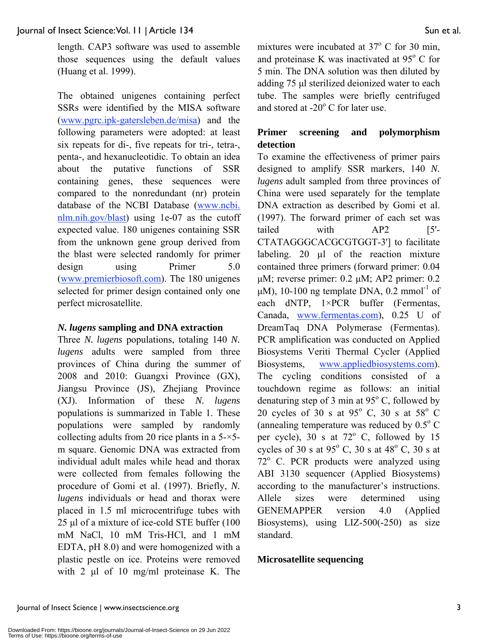length. CAP3 software was used to assemble those sequences using the default values (Huang et al. 1999).

The obtained unigenes containing perfect SSRs were identified by the MISA software (www.pgrc.ipk-gatersleben.de/misa) and the following parameters were adopted: at least six repeats for di-, five repeats for tri-, tetra-, penta-, and hexanucleotidic. To obtain an idea about the putative functions of SSR containing genes, these sequences were compared to the nonredundant (nr) protein database of the NCBI Database (www.ncbi. nlm.nih.gov/blast) using 1e-07 as the cutoff expected value. 180 unigenes containing SSR from the unknown gene group derived from the blast were selected randomly for primer design using Primer 5.0 (www.premierbiosoft.com). The 180 unigenes selected for primer design contained only one perfect microsatellite.

### *N. lugens* **sampling and DNA extraction**

Three *N. lugens* populations, totaling 140 *N. lugens* adults were sampled from three provinces of China during the summer of 2008 and 2010: Guangxi Province (GX), Jiangsu Province (JS), Zhejiang Province (XJ). Information of these *N. lugens* populations is summarized in Table 1. These populations were sampled by randomly collecting adults from 20 rice plants in a  $5-x5$ m square. Genomic DNA was extracted from individual adult males while head and thorax were collected from females following the procedure of Gomi et al. (1997). Briefly, *N. lugens* individuals or head and thorax were placed in 1.5 ml microcentrifuge tubes with 25 μl of a mixture of ice-cold STE buffer (100 mM NaCl, 10 mM Tris-HCl, and 1 mM EDTA, pH 8.0) and were homogenized with a plastic pestle on ice. Proteins were removed with 2 μl of 10 mg/ml proteinase K. The

mixtures were incubated at  $37^{\circ}$  C for 30 min, and proteinase K was inactivated at  $95^{\circ}$  C for 5 min. The DNA solution was then diluted by adding 75 μl sterilized deionized water to each tube. The samples were briefly centrifuged and stored at  $-20^{\circ}$  C for later use.

### **Primer screening and polymorphism detection**

To examine the effectiveness of primer pairs designed to amplify SSR markers, 140 *N. lugens* adult sampled from three provinces of China were used separately for the template DNA extraction as described by Gomi et al. (1997). The forward primer of each set was tailed with AP2 [5'-CTATAGGGCACGCGTGGT-3'] to facilitate labeling. 20  $\mu$ l of the reaction mixture contained three primers (forward primer: 0.04 μM; reverse primer: 0.2 μM; AP2 primer: 0.2 μM), 10-100 ng template DNA, 0.2 mmol<sup>-1</sup> of each dNTP,  $1 \times PCR$  buffer (Fermentas, Canada, www.fermentas.com), 0.25 U of DreamTaq DNA Polymerase (Fermentas). PCR amplification was conducted on Applied Biosystems Veriti Thermal Cycler (Applied Biosystems, www.appliedbiosystems.com). The cycling conditions consisted of a touchdown regime as follows: an initial denaturing step of 3 min at  $95^{\circ}$  C, followed by 20 cycles of 30 s at  $95^{\circ}$  C, 30 s at  $58^{\circ}$  C (annealing temperature was reduced by  $0.5^{\circ}$  C per cycle),  $30 \text{ s at } 72^{\circ} \text{ C}$ , followed by 15 cycles of 30 s at  $95^{\circ}$  C, 30 s at  $48^{\circ}$  C, 30 s at 72° C. PCR products were analyzed using ABI 3130 sequencer (Applied Biosystems) according to the manufacturer's instructions. Allele sizes were determined using GENEMAPPER version 4.0 (Applied Biosystems), using LIZ-500(-250) as size standard.

### **Microsatellite sequencing**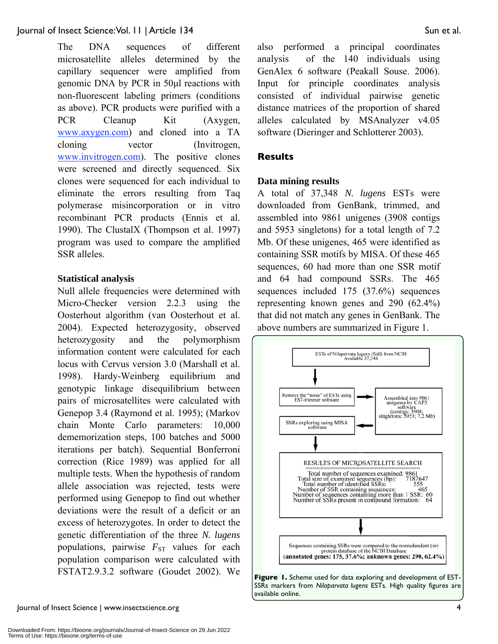The DNA sequences of different microsatellite alleles determined by the capillary sequencer were amplified from genomic DNA by PCR in 50μl reactions with non-fluorescent labeling primers (conditions as above). PCR products were purified with a PCR Cleanup Kit (Axygen, www.axygen.com) and cloned into a TA cloning vector (Invitrogen, www.invitrogen.com). The positive clones were screened and directly sequenced. Six clones were sequenced for each individual to eliminate the errors resulting from Taq polymerase misincorporation or in vitro recombinant PCR products (Ennis et al. 1990). The ClustalX (Thompson et al. 1997) program was used to compare the amplified SSR alleles.

### **Statistical analysis**

Null allele frequencies were determined with Micro-Checker version 2.2.3 using the Oosterhout algorithm (van Oosterhout et al. 2004). Expected heterozygosity, observed heterozygosity and the polymorphism information content were calculated for each locus with Cervus version 3.0 (Marshall et al. 1998). Hardy-Weinberg equilibrium and genotypic linkage disequilibrium between pairs of microsatellites were calculated with Genepop 3.4 (Raymond et al. 1995); (Markov chain Monte Carlo parameters: 10,000 dememorization steps, 100 batches and 5000 iterations per batch). Sequential Bonferroni correction (Rice 1989) was applied for all multiple tests. When the hypothesis of random allele association was rejected, tests were performed using Genepop to find out whether deviations were the result of a deficit or an excess of heterozygotes. In order to detect the genetic differentiation of the three *N. lugens* populations, pairwise  $F_{ST}$  values for each population comparison were calculated with FSTAT2.9.3.2 software (Goudet 2002). We also performed a principal coordinates analysis of the 140 individuals using GenAlex 6 software (Peakall Souse. 2006). Input for principle coordinates analysis consisted of individual pairwise genetic distance matrices of the proportion of shared alleles calculated by MSAnalyzer v4.05 software (Dieringer and Schlotterer 2003).

### **Results**

### **Data mining results**

A total of 37,348 *N. lugens* ESTs were downloaded from GenBank, trimmed, and assembled into 9861 unigenes (3908 contigs and 5953 singletons) for a total length of 7.2 Mb. Of these unigenes, 465 were identified as containing SSR motifs by MISA. Of these 465 sequences, 60 had more than one SSR motif and 64 had compound SSRs. The 465 sequences included 175 (37.6%) sequences representing known genes and 290 (62.4%) that did not match any genes in GenBank. The above numbers are summarized in Figure 1.

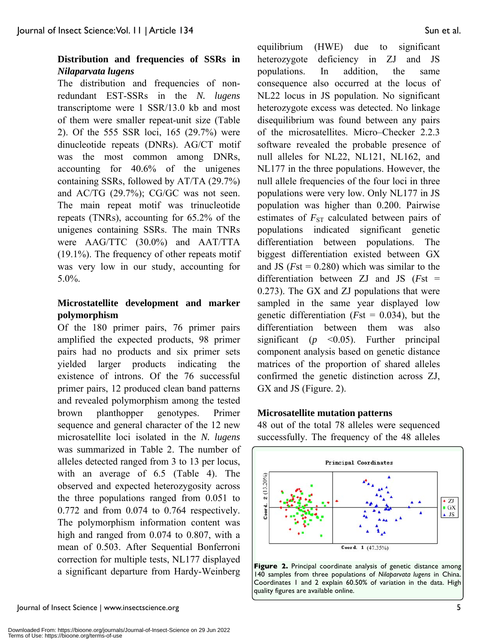### **Distribution and frequencies of SSRs in**  *Nilaparvata lugens*

The distribution and frequencies of nonredundant EST-SSRs in the *N. lugens* transcriptome were 1 SSR/13.0 kb and most of them were smaller repeat-unit size (Table 2). Of the 555 SSR loci, 165 (29.7%) were dinucleotide repeats (DNRs). AG/CT motif was the most common among DNRs, accounting for 40.6% of the unigenes containing SSRs, followed by AT/TA (29.7%) and AC/TG (29.7%); CG/GC was not seen. The main repeat motif was trinucleotide repeats (TNRs), accounting for 65.2% of the unigenes containing SSRs. The main TNRs were AAG/TTC (30.0%) and AAT/TTA (19.1%). The frequency of other repeats motif was very low in our study, accounting for 5.0%.

### **Microstatellite development and marker polymorphism**

Of the 180 primer pairs, 76 primer pairs amplified the expected products, 98 primer pairs had no products and six primer sets yielded larger products indicating the existence of introns. Of the 76 successful primer pairs, 12 produced clean band patterns and revealed polymorphism among the tested brown planthopper genotypes. Primer sequence and general character of the 12 new microsatellite loci isolated in the *N. lugens* was summarized in Table 2. The number of alleles detected ranged from 3 to 13 per locus, with an average of 6.5 (Table 4). The observed and expected heterozygosity across the three populations ranged from 0.051 to 0.772 and from 0.074 to 0.764 respectively. The polymorphism information content was high and ranged from 0.074 to 0.807, with a mean of 0.503. After Sequential Bonferroni correction for multiple tests, NL177 displayed a significant departure from Hardy-Weinberg equilibrium (HWE) due to significant heterozygote deficiency in ZJ and JS populations. In addition, the same consequence also occurred at the locus of NL22 locus in JS population. No significant heterozygote excess was detected. No linkage disequilibrium was found between any pairs of the microsatellites. Micro–Checker 2.2.3 software revealed the probable presence of null alleles for NL22, NL121, NL162, and NL177 in the three populations. However, the null allele frequencies of the four loci in three populations were very low. Only NL177 in JS population was higher than 0.200. Pairwise estimates of  $F_{ST}$  calculated between pairs of populations indicated significant genetic differentiation between populations. The biggest differentiation existed between GX and JS ( $Fst = 0.280$ ) which was similar to the differentiation between ZJ and JS (*F*st = 0.273). The GX and ZJ populations that were sampled in the same year displayed low genetic differentiation (*F*st = 0.034), but the differentiation between them was also significant (*p* <0.05). Further principal component analysis based on genetic distance matrices of the proportion of shared alleles confirmed the genetic distinction across ZJ, GX and JS (Figure. 2).

### **Microsatellite mutation patterns**

48 out of the total 78 alleles were sequenced successfully. The frequency of the 48 alleles



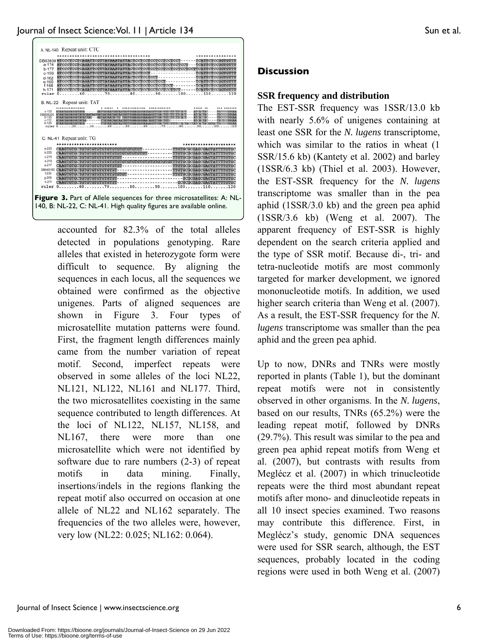

accounted for 82.3% of the total alleles detected in populations genotyping. Rare alleles that existed in heterozygote form were difficult to sequence. By aligning the sequences in each locus, all the sequences we obtained were confirmed as the objective unigenes. Parts of aligned sequences are shown in Figure 3. Four types of microsatellite mutation patterns were found. First, the fragment length differences mainly came from the number variation of repeat motif. Second, imperfect repeats were observed in some alleles of the loci NL22, NL121, NL122, NL161 and NL177. Third, the two microsatellites coexisting in the same sequence contributed to length differences. At the loci of NL122, NL157, NL158, and NL167, there were more than one microsatellite which were not identified by software due to rare numbers (2-3) of repeat motifs in data mining. Finally, insertions/indels in the regions flanking the repeat motif also occurred on occasion at one allele of NL22 and NL162 separately. The frequencies of the two alleles were, however, very low (NL22: 0.025; NL162: 0.064).

### **Discussion**

### **SSR frequency and distribution**

The EST-SSR frequency was 1SSR/13.0 kb with nearly 5.6% of unigenes containing at least one SSR for the *N. lugens* transcriptome, which was similar to the ratios in wheat  $(1)$ SSR/15.6 kb) (Kantety et al. 2002) and barley (1SSR/6.3 kb) (Thiel et al. 2003). However, the EST-SSR frequency for the *N. lugens* transcriptome was smaller than in the pea aphid (1SSR/3.0 kb) and the green pea aphid (1SSR/3.6 kb) (Weng et al. 2007). The apparent frequency of EST-SSR is highly dependent on the search criteria applied and the type of SSR motif. Because di-, tri- and tetra-nucleotide motifs are most commonly targeted for marker development, we ignored mononucleotide motifs. In addition, we used higher search criteria than Weng et al.  $(2007)$ . As a result, the EST-SSR frequency for the *N. lugens* transcriptome was smaller than the pea aphid and the green pea aphid.

Up to now, DNRs and TNRs were mostly reported in plants (Table 1), but the dominant repeat motifs were not in consistently observed in other organisms. In the *N. lugens*, based on our results, TNRs (65.2%) were the leading repeat motif, followed by DNRs (29.7%). This result was similar to the pea and green pea aphid repeat motifs from Weng et al. (2007), but contrasts with results from Meglécz et al. (2007) in which trinucleotide repeats were the third most abundant repeat motifs after mono- and dinucleotide repeats in all 10 insect species examined. Two reasons may contribute this difference. First, in Meglécz's study, genomic DNA sequences were used for SSR search, although, the EST sequences, probably located in the coding regions were used in both Weng et al. (2007)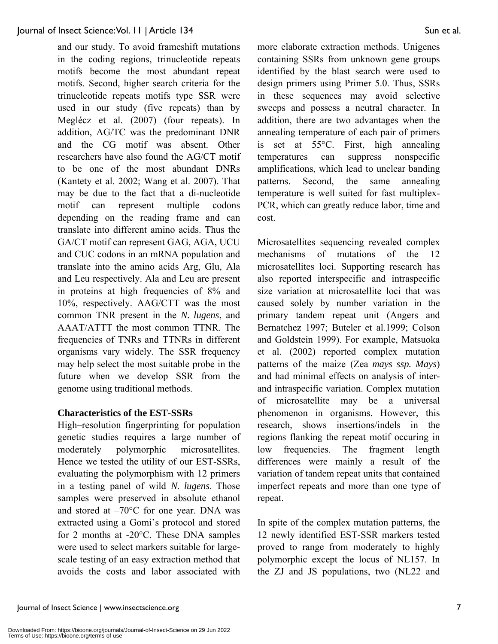and our study. To avoid frameshift mutations in the coding regions, trinucleotide repeats motifs become the most abundant repeat motifs. Second, higher search criteria for the trinucleotide repeats motifs type SSR were used in our study (five repeats) than by Meglécz et al. (2007) (four repeats). In addition, AG/TC was the predominant DNR and the CG motif was absent. Other researchers have also found the AG/CT motif to be one of the most abundant DNRs (Kantety et al. 2002; Wang et al. 2007). That may be due to the fact that a di-nucleotide motif can represent multiple codons depending on the reading frame and can translate into different amino acids. Thus the GA/CT motif can represent GAG, AGA, UCU and CUC codons in an mRNA population and translate into the amino acids Arg, Glu, Ala and Leu respectively. Ala and Leu are present in proteins at high frequencies of 8% and 10%, respectively. AAG/CTT was the most common TNR present in the *N. lugens*, and AAAT/ATTT the most common TTNR. The frequencies of TNRs and TTNRs in different organisms vary widely. The SSR frequency may help select the most suitable probe in the future when we develop SSR from the genome using traditional methods.

### **Characteristics of the EST-SSRs**

High–resolution fingerprinting for population genetic studies requires a large number of moderately polymorphic microsatellites. Hence we tested the utility of our EST-SSRs, evaluating the polymorphism with 12 primers in a testing panel of wild *N. lugens*. Those samples were preserved in absolute ethanol and stored at  $-70^{\circ}$ C for one year. DNA was extracted using a Gomi's protocol and stored for 2 months at -20°C. These DNA samples were used to select markers suitable for largescale testing of an easy extraction method that avoids the costs and labor associated with more elaborate extraction methods. Unigenes containing SSRs from unknown gene groups identified by the blast search were used to design primers using Primer 5.0. Thus, SSRs in these sequences may avoid selective sweeps and possess a neutral character. In addition, there are two advantages when the annealing temperature of each pair of primers is set at 55°C. First, high annealing temperatures can suppress nonspecific amplifications, which lead to unclear banding patterns. Second, the same annealing temperature is well suited for fast multiplex-PCR, which can greatly reduce labor, time and cost.

Microsatellites sequencing revealed complex mechanisms of mutations of the 12 microsatellites loci. Supporting research has also reported interspecific and intraspecific size variation at microsatellite loci that was caused solely by number variation in the primary tandem repeat unit (Angers and Bernatchez 1997; Buteler et al.1999; Colson and Goldstein 1999). For example, Matsuoka et al. (2002) reported complex mutation patterns of the maize (Zea *mays ssp. Mays*) and had minimal effects on analysis of interand intraspecific variation. Complex mutation of microsatellite may be a universal phenomenon in organisms. However, this research, shows insertions/indels in the regions flanking the repeat motif occuring in low frequencies. The fragment length differences were mainly a result of the variation of tandem repeat units that contained imperfect repeats and more than one type of repeat.

In spite of the complex mutation patterns, the 12 newly identified EST-SSR markers tested proved to range from moderately to highly polymorphic except the locus of NL157. In the ZJ and JS populations, two (NL22 and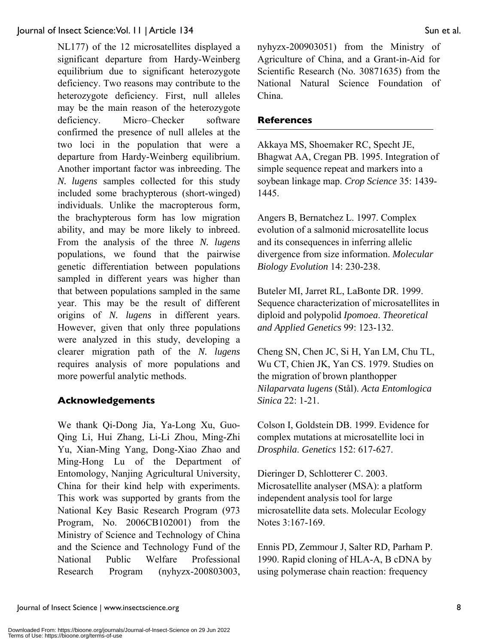NL177) of the 12 microsatellites displayed a significant departure from Hardy-Weinberg equilibrium due to significant heterozygote deficiency. Two reasons may contribute to the heterozygote deficiency. First, null alleles may be the main reason of the heterozygote deficiency. Micro–Checker software confirmed the presence of null alleles at the two loci in the population that were a departure from Hardy-Weinberg equilibrium. Another important factor was inbreeding. The *N. lugens* samples collected for this study included some brachypterous (short-winged) individuals. Unlike the macropterous form, the brachypterous form has low migration ability, and may be more likely to inbreed. From the analysis of the three *N. lugens* populations, we found that the pairwise genetic differentiation between populations sampled in different years was higher than that between populations sampled in the same year. This may be the result of different origins of *N. lugens* in different years. However, given that only three populations were analyzed in this study, developing a clearer migration path of the *N. lugens* requires analysis of more populations and more powerful analytic methods.

### **Acknowledgements**

We thank Qi-Dong Jia, Ya-Long Xu, Guo-Qing Li, Hui Zhang, Li-Li Zhou, Ming-Zhi Yu, Xian-Ming Yang, Dong-Xiao Zhao and Ming-Hong Lu of the Department of Entomology, Nanjing Agricultural University, China for their kind help with experiments. This work was supported by grants from the National Key Basic Research Program (973 Program, No. 2006CB102001) from the Ministry of Science and Technology of China and the Science and Technology Fund of the National Public Welfare Professional Research Program (nyhyzx-200803003, nyhyzx-200903051) from the Ministry of Agriculture of China, and a Grant-in-Aid for Scientific Research (No. 30871635) from the National Natural Science Foundation of China.

### **References**

Akkaya MS, Shoemaker RC, Specht JE, Bhagwat AA, Cregan PB. 1995. Integration of simple sequence repeat and markers into a soybean linkage map. *Crop Science* 35: 1439- 1445.

Angers B, Bernatchez L. 1997. Complex evolution of a salmonid microsatellite locus and its consequences in inferring allelic divergence from size information. *Molecular Biology Evolution* 14: 230-238.

Buteler MI, Jarret RL, LaBonte DR. 1999. Sequence characterization of microsatellites in diploid and polypolid *Ipomoea*. *Theoretical and Applied Genetics* 99: 123-132.

Cheng SN, Chen JC, Si H, Yan LM, Chu TL, Wu CT, Chien JK, Yan CS. 1979. Studies on the migration of brown planthopper *Nilaparvata lugens* (Stål). *Acta Entomlogica Sinica* 22: 1-21.

Colson I, Goldstein DB. 1999. Evidence for complex mutations at microsatellite loci in *Drosphila*. *Genetics* 152: 617-627.

Dieringer D, Schlotterer C. 2003. Microsatellite analyser (MSA): a platform independent analysis tool for large microsatellite data sets. Molecular Ecology Notes 3:167-169.

Ennis PD, Zemmour J, Salter RD, Parham P. 1990. Rapid cloning of HLA-A, B cDNA by using polymerase chain reaction: frequency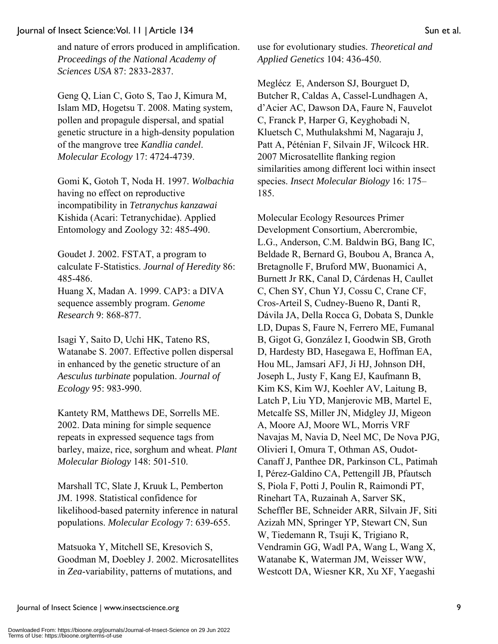and nature of errors produced in amplification. *Proceedings of the National Academy of Sciences USA* 87: 2833-2837.

Geng Q, Lian C, Goto S, Tao J, Kimura M, Islam MD, Hogetsu T. 2008. Mating system, pollen and propagule dispersal, and spatial genetic structure in a high-density population of the mangrove tree *Kandlia candel*. *Molecular Ecology* 17: 4724-4739.

Gomi K, Gotoh T, Noda H. 1997. *Wolbachia* having no effect on reproductive incompatibility in *Tetranychus kanzawai* Kishida (Acari: Tetranychidae). Applied Entomology and Zoology 32: 485-490.

Goudet J. 2002. FSTAT, a program to calculate F-Statistics. *Journal of Heredity* 86: 485-486. Huang X, Madan A. 1999. CAP3: a DIVA sequence assembly program. *Genome Research* 9: 868-877.

Isagi Y, Saito D, Uchi HK, Tateno RS, Watanabe S. 2007. Effective pollen dispersal in enhanced by the genetic structure of an *Aesculus turbinate* population. *Journal of Ecology* 95: 983-990.

Kantety RM, Matthews DE, Sorrells ME. 2002. Data mining for simple sequence repeats in expressed sequence tags from barley, maize, rice, sorghum and wheat. *Plant Molecular Biology* 148: 501-510.

Marshall TC, Slate J, Kruuk L, Pemberton JM. 1998. Statistical confidence for likelihood-based paternity inference in natural populations. *Molecular Ecology* 7: 639-655.

Matsuoka Y, Mitchell SE, Kresovich S, Goodman M, Doebley J. 2002. Microsatellites in *Zea*-variability, patterns of mutations, and

use for evolutionary studies. *Theoretical and Applied Genetics* 104: 436-450.

Meglécz E, Anderson SJ, Bourguet D, Butcher R, Caldas A, Cassel-Lundhagen A, d'Acier AC, Dawson DA, Faure N, Fauvelot C, Franck P, Harper G, Keyghobadi N, Kluetsch C, Muthulakshmi M, Nagaraju J, Patt A, Péténian F, Silvain JF, Wilcock HR. 2007 Microsatellite flanking region similarities among different loci within insect species. *Insect Molecular Biology* 16: 175– 185.

Molecular Ecology Resources Primer Development Consortium, Abercrombie, L.G., Anderson, C.M. Baldwin BG, Bang IC, Beldade R, Bernard G, Boubou A, Branca A, Bretagnolle F, Bruford MW, Buonamici A, Burnett Jr RK, Canal D, Cárdenas H, Caullet C, Chen SY, Chun YJ, Cossu C, Crane CF, Cros-Arteil S, Cudney-Bueno R, Danti R, Dávila JA, Della Rocca G, Dobata S, Dunkle LD, Dupas S, Faure N, Ferrero ME, Fumanal B, Gigot G, González I, Goodwin SB, Groth D, Hardesty BD, Hasegawa E, Hoffman EA, Hou ML, Jamsari AFJ, Ji HJ, Johnson DH, Joseph L, Justy F, Kang EJ, Kaufmann B, Kim KS, Kim WJ, Koehler AV, Laitung B, Latch P, Liu YD, Manjerovic MB, Martel E, Metcalfe SS, Miller JN, Midgley JJ, Migeon A, Moore AJ, Moore WL, Morris VRF Navajas M, Navia D, Neel MC, De Nova PJG, Olivieri I, Omura T, Othman AS, Oudot-Canaff J, Panthee DR, Parkinson CL, Patimah I, Pérez-Galdino CA, Pettengill JB, Pfautsch S, Piola F, Potti J, Poulin R, Raimondi PT, Rinehart TA, Ruzainah A, Sarver SK, Scheffler BE, Schneider ARR, Silvain JF, Siti Azizah MN, Springer YP, Stewart CN, Sun W, Tiedemann R, Tsuji K, Trigiano R, Vendramin GG, Wadl PA, Wang L, Wang X, Watanabe K, Waterman JM, Weisser WW, Westcott DA, Wiesner KR, Xu XF, Yaegashi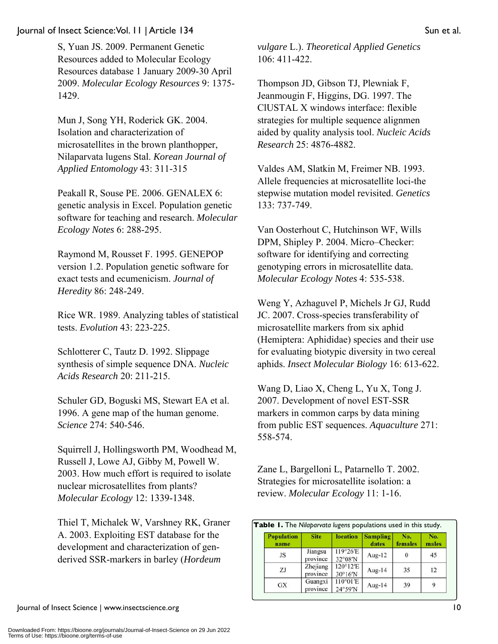S, Yuan JS. 2009. Permanent Genetic Resources added to Molecular Ecology Resources database 1 January 2009-30 April 2009. *Molecular Ecology Resources* 9: 1375- 1429.

Mun J, Song YH, Roderick GK. 2004. Isolation and characterization of microsatellites in the brown planthopper, Nilaparvata lugens Stal. *Korean Journal of Applied Entomology* 43: 311-315

Peakall R, Souse PE. 2006. GENALEX 6: genetic analysis in Excel. Population genetic software for teaching and research. *Molecular Ecology Notes* 6: 288-295.

Raymond M, Rousset F. 1995. GENEPOP version 1.2. Population genetic software for exact tests and ecumenicism. *Journal of Heredity* 86: 248-249.

Rice WR. 1989. Analyzing tables of statistical tests. *Evolution* 43: 223-225.

Schlotterer C, Tautz D. 1992. Slippage synthesis of simple sequence DNA. *Nucleic Acids Research* 20: 211-215.

Schuler GD, Boguski MS, Stewart EA et al. 1996. A gene map of the human genome. *Science* 274: 540-546.

Squirrell J, Hollingsworth PM, Woodhead M, Russell J, Lowe AJ, Gibby M, Powell W. 2003. How much effort is required to isolate nuclear microsatellites from plants? *Molecular Ecology* 12: 1339-1348.

Thiel T, Michalek W, Varshney RK, Graner A. 2003. Exploiting EST database for the development and characterization of genderived SSR-markers in barley (*Hordeum*

*vulgare* L.). *Theoretical Applied Genetics* 106: 411-422.

Thompson JD, Gibson TJ, Plewniak F, Jeanmougin F, Higgins, DG. 1997. The ClUSTAL X windows interface: flexible strategies for multiple sequence alignmen aided by quality analysis tool. *Nucleic Acids Research* 25: 4876-4882.

Valdes AM, Slatkin M, Freimer NB. 1993. Allele frequencies at microsatellite loci-the stepwise mutation model revisited. *Genetics* 133: 737-749.

Van Oosterhout C, Hutchinson WF, Wills DPM, Shipley P. 2004. Micro–Checker: software for identifying and correcting genotyping errors in microsatellite data. *Molecular Ecology Notes* 4: 535-538.

Weng Y, Azhaguvel P, Michels Jr GJ, Rudd JC. 2007. Cross-species transferability of microsatellite markers from six aphid (Hemiptera: Aphididae) species and their use for evaluating biotypic diversity in two cereal aphids. *Insect Molecular Biology* 16: 613-622.

Wang D, Liao X, Cheng L, Yu X, Tong J. 2007. Development of novel EST-SSR markers in common carps by data mining from public EST sequences. *Aquaculture* 271: 558-574.

Zane L, Bargelloni L, Patarnello T. 2002. Strategies for microsatellite isolation: a review. *Molecular Ecology* 11: 1-16.

| <b>Population</b><br>name | <b>Site</b>          | location            | <b>Sampling</b><br>dates | No.<br>females | No.<br>males |
|---------------------------|----------------------|---------------------|--------------------------|----------------|--------------|
| JS                        | Jiangsu<br>province  | 119°26'E<br>32°08'N | Aug- $12$                | 0              | 45           |
| ZJ                        | Zhejiang<br>province | 120°12'E<br>30°16'N | Aug-14                   | 35             | 12           |
| <b>GX</b>                 | Guangxi<br>province  | 110°01'E<br>24°59'N | Aug-14                   | 39             | 9            |

Journal of Insect Science | www.insectscience.org 10